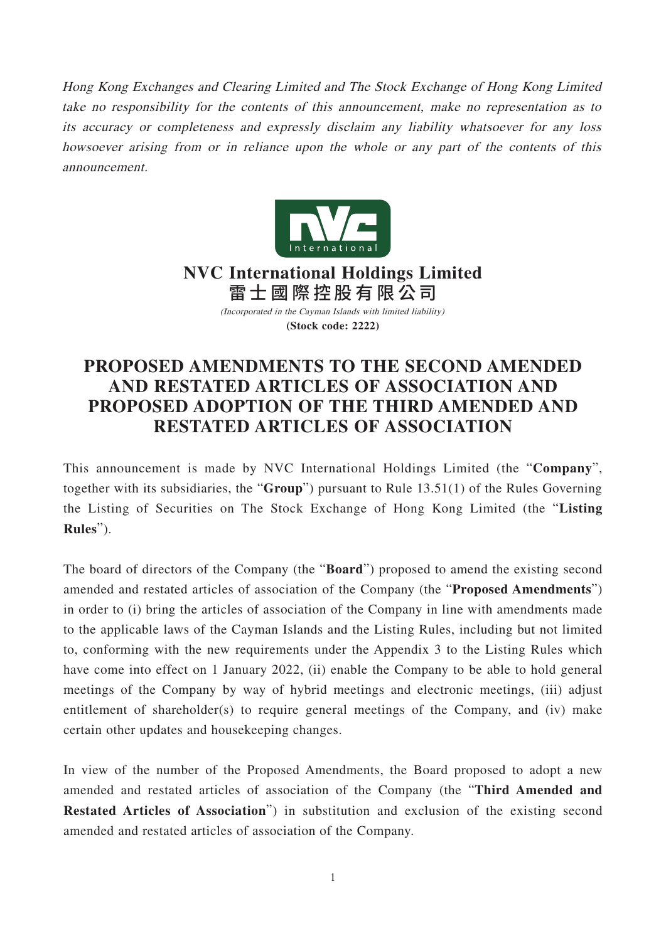Hong Kong Exchanges and Clearing Limited and The Stock Exchange of Hong Kong Limited take no responsibility for the contents of this announcement, make no representation as to its accuracy or completeness and expressly disclaim any liability whatsoever for any loss howsoever arising from or in reliance upon the whole or any part of the contents of this announcement.



**NVC International Holdings Limited** 雷士國際控股有限公司

(Incorporated in the Cayman Islands with limited liability) **(Stock code: 2222)**

## **PROPOSED AMENDMENTS TO THE SECOND AMENDED AND RESTATED ARTICLES OF ASSOCIATION AND PROPOSED ADOPTION OF THE THIRD AMENDED AND RESTATED ARTICLES OF ASSOCIATION**

This announcement is made by NVC International Holdings Limited (the "**Company**", together with its subsidiaries, the "**Group**") pursuant to Rule 13.51(1) of the Rules Governing the Listing of Securities on The Stock Exchange of Hong Kong Limited (the "**Listing Rules**").

The board of directors of the Company (the "**Board**") proposed to amend the existing second amended and restated articles of association of the Company (the "**Proposed Amendments**") in order to (i) bring the articles of association of the Company in line with amendments made to the applicable laws of the Cayman Islands and the Listing Rules, including but not limited to, conforming with the new requirements under the Appendix 3 to the Listing Rules which have come into effect on 1 January 2022, (ii) enable the Company to be able to hold general meetings of the Company by way of hybrid meetings and electronic meetings, (iii) adjust entitlement of shareholder(s) to require general meetings of the Company, and (iv) make certain other updates and housekeeping changes.

In view of the number of the Proposed Amendments, the Board proposed to adopt a new amended and restated articles of association of the Company (the "**Third Amended and Restated Articles of Association**") in substitution and exclusion of the existing second amended and restated articles of association of the Company.